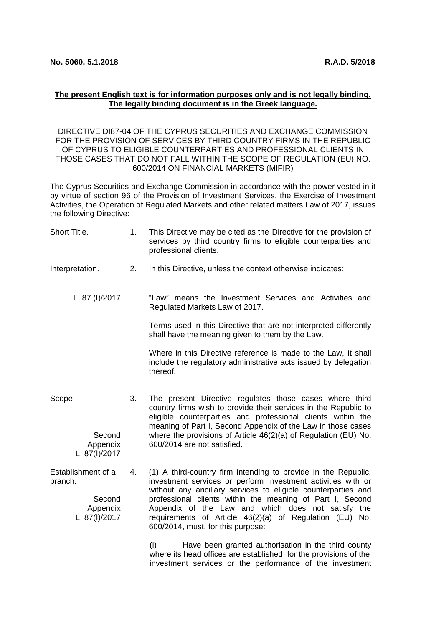## **The present English text is for information purposes only and is not legally binding. The legally binding document is in the Greek language.**

[DIRECTIVE DI87-04 OF THE CYPRUS SECURITIES AND EXCHANGE COMMISSION](https://www.cysec.gov.cy/CMSPages/GetFile.aspx?guid=7d653de6-373f-47a7-950d-facdd5fafe70)  [FOR THE PROVISION OF SERVICES BY THIRD COUNTRY FIRMS IN THE REPUBLIC](https://www.cysec.gov.cy/CMSPages/GetFile.aspx?guid=7d653de6-373f-47a7-950d-facdd5fafe70)  [OF CYPRUS TO ELIGIBLE COUNTERPARTIES AND PROFESSIONAL](https://www.cysec.gov.cy/CMSPages/GetFile.aspx?guid=7d653de6-373f-47a7-950d-facdd5fafe70) CLIENTS IN [THOSE CASES THAT DO NOT FALL WITHIN THE SCOPE OF REGULATION \(EU\) NO.](https://www.cysec.gov.cy/CMSPages/GetFile.aspx?guid=7d653de6-373f-47a7-950d-facdd5fafe70)  600/2014 [ON FINANCIAL MARKETS \(MIFIR\)](https://www.cysec.gov.cy/CMSPages/GetFile.aspx?guid=7d653de6-373f-47a7-950d-facdd5fafe70)

The Cyprus Securities and Exchange Commission in accordance with the power vested in it by virtue of section 96 of the Provision of Investment Services, the Exercise of Investment Activities, the Operation of Regulated Markets and other related matters Law of 2017, issues the following Directive:

| Short Title.                                                         | 1. | This Directive may be cited as the Directive for the provision of<br>services by third country firms to eligible counterparties and<br>professional clients.                                                                                                                                                                                                                                                       |
|----------------------------------------------------------------------|----|--------------------------------------------------------------------------------------------------------------------------------------------------------------------------------------------------------------------------------------------------------------------------------------------------------------------------------------------------------------------------------------------------------------------|
| Interpretation.                                                      | 2. | In this Directive, unless the context otherwise indicates:                                                                                                                                                                                                                                                                                                                                                         |
| L. 87 (I)/2017                                                       |    | "Law" means the Investment Services and Activities and<br>Regulated Markets Law of 2017.                                                                                                                                                                                                                                                                                                                           |
|                                                                      |    | Terms used in this Directive that are not interpreted differently<br>shall have the meaning given to them by the Law.                                                                                                                                                                                                                                                                                              |
|                                                                      |    | Where in this Directive reference is made to the Law, it shall<br>include the regulatory administrative acts issued by delegation<br>thereof.                                                                                                                                                                                                                                                                      |
| Scope.<br>Second<br>Appendix<br>L. 87(I)/2017                        | 3. | The present Directive regulates those cases where third<br>country firms wish to provide their services in the Republic to<br>eligible counterparties and professional clients within the<br>meaning of Part I, Second Appendix of the Law in those cases<br>where the provisions of Article 46(2)(a) of Regulation (EU) No.<br>600/2014 are not satisfied.                                                        |
| Establishment of a<br>branch.<br>Second<br>Appendix<br>L. 87(I)/2017 | 4. | (1) A third-country firm intending to provide in the Republic,<br>investment services or perform investment activities with or<br>without any ancillary services to eligible counterparties and<br>professional clients within the meaning of Part I, Second<br>Appendix of the Law and which does not satisfy the<br>requirements of Article 46(2)(a) of Regulation (EU) No.<br>600/2014, must, for this purpose: |
|                                                                      |    | Have been granted authorisation in the third county<br>(i)<br>where its head offices are established, for the provisions of the                                                                                                                                                                                                                                                                                    |

investment services or the performance of the investment